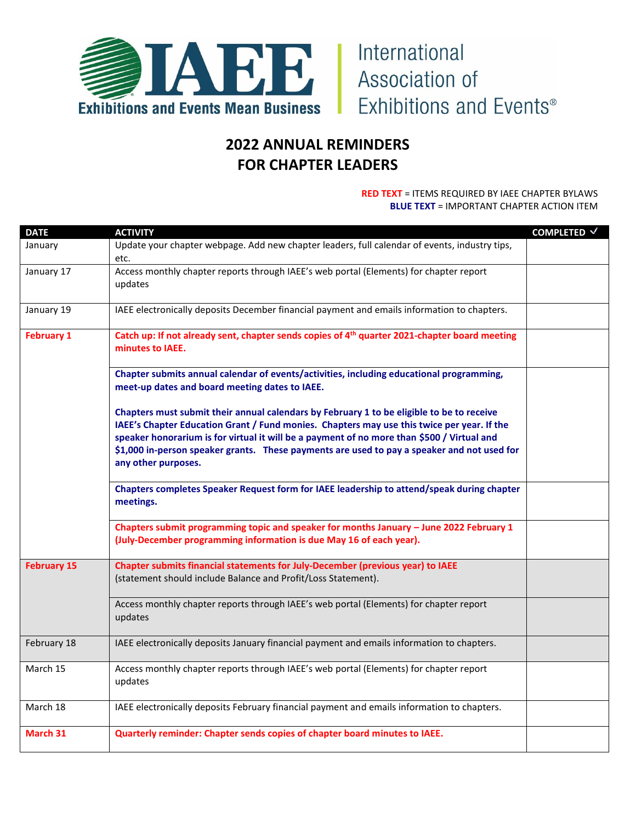

## **2022 ANNUAL REMINDERS FOR CHAPTER LEADERS**

## **RED TEXT** = ITEMS REQUIRED BY IAEE CHAPTER BYLAWS **BLUE TEXT** = IMPORTANT CHAPTER ACTION ITEM

| <b>DATE</b>        | <b>ACTIVITY</b>                                                                                                                                                                                                                                                                                                                                                                                             | COMPLETED √ |
|--------------------|-------------------------------------------------------------------------------------------------------------------------------------------------------------------------------------------------------------------------------------------------------------------------------------------------------------------------------------------------------------------------------------------------------------|-------------|
| January            | Update your chapter webpage. Add new chapter leaders, full calendar of events, industry tips,<br>etc.                                                                                                                                                                                                                                                                                                       |             |
| January 17         | Access monthly chapter reports through IAEE's web portal (Elements) for chapter report<br>updates                                                                                                                                                                                                                                                                                                           |             |
| January 19         | IAEE electronically deposits December financial payment and emails information to chapters.                                                                                                                                                                                                                                                                                                                 |             |
| <b>February 1</b>  | Catch up: If not already sent, chapter sends copies of 4 <sup>th</sup> quarter 2021-chapter board meeting<br>minutes to IAEE.                                                                                                                                                                                                                                                                               |             |
|                    | Chapter submits annual calendar of events/activities, including educational programming,<br>meet-up dates and board meeting dates to IAEE.                                                                                                                                                                                                                                                                  |             |
|                    | Chapters must submit their annual calendars by February 1 to be eligible to be to receive<br>IAEE's Chapter Education Grant / Fund monies. Chapters may use this twice per year. If the<br>speaker honorarium is for virtual it will be a payment of no more than \$500 / Virtual and<br>\$1,000 in-person speaker grants. These payments are used to pay a speaker and not used for<br>any other purposes. |             |
|                    | Chapters completes Speaker Request form for IAEE leadership to attend/speak during chapter<br>meetings.                                                                                                                                                                                                                                                                                                     |             |
|                    | Chapters submit programming topic and speaker for months January - June 2022 February 1<br>(July-December programming information is due May 16 of each year).                                                                                                                                                                                                                                              |             |
| <b>February 15</b> | Chapter submits financial statements for July-December (previous year) to IAEE<br>(statement should include Balance and Profit/Loss Statement).                                                                                                                                                                                                                                                             |             |
|                    | Access monthly chapter reports through IAEE's web portal (Elements) for chapter report<br>updates                                                                                                                                                                                                                                                                                                           |             |
| February 18        | IAEE electronically deposits January financial payment and emails information to chapters.                                                                                                                                                                                                                                                                                                                  |             |
| March 15           | Access monthly chapter reports through IAEE's web portal (Elements) for chapter report<br>updates                                                                                                                                                                                                                                                                                                           |             |
| March 18           | IAEE electronically deposits February financial payment and emails information to chapters.                                                                                                                                                                                                                                                                                                                 |             |
| March 31           | Quarterly reminder: Chapter sends copies of chapter board minutes to IAEE.                                                                                                                                                                                                                                                                                                                                  |             |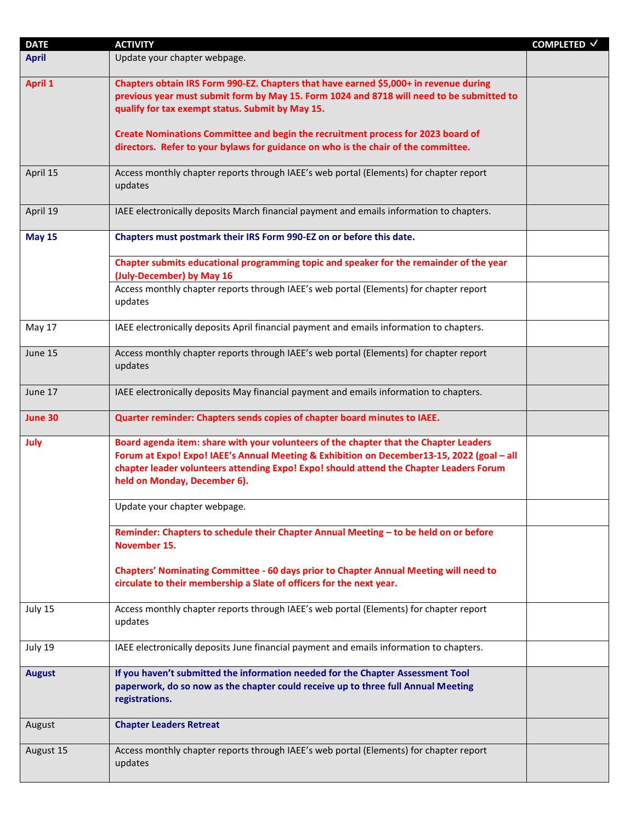| <b>DATE</b>    | <b>ACTIVITY</b>                                                                                                                                                                                                                                                                                                | COMPLETED √ |
|----------------|----------------------------------------------------------------------------------------------------------------------------------------------------------------------------------------------------------------------------------------------------------------------------------------------------------------|-------------|
| <b>April</b>   | Update your chapter webpage.                                                                                                                                                                                                                                                                                   |             |
| <b>April 1</b> | Chapters obtain IRS Form 990-EZ. Chapters that have earned \$5,000+ in revenue during<br>previous year must submit form by May 15. Form 1024 and 8718 will need to be submitted to<br>qualify for tax exempt status. Submit by May 15.                                                                         |             |
|                | Create Nominations Committee and begin the recruitment process for 2023 board of<br>directors. Refer to your bylaws for guidance on who is the chair of the committee.                                                                                                                                         |             |
| April 15       | Access monthly chapter reports through IAEE's web portal (Elements) for chapter report<br>updates                                                                                                                                                                                                              |             |
| April 19       | IAEE electronically deposits March financial payment and emails information to chapters.                                                                                                                                                                                                                       |             |
| <b>May 15</b>  | Chapters must postmark their IRS Form 990-EZ on or before this date.                                                                                                                                                                                                                                           |             |
|                | Chapter submits educational programming topic and speaker for the remainder of the year<br>(July-December) by May 16                                                                                                                                                                                           |             |
|                | Access monthly chapter reports through IAEE's web portal (Elements) for chapter report<br>updates                                                                                                                                                                                                              |             |
| May 17         | IAEE electronically deposits April financial payment and emails information to chapters.                                                                                                                                                                                                                       |             |
| June 15        | Access monthly chapter reports through IAEE's web portal (Elements) for chapter report<br>updates                                                                                                                                                                                                              |             |
| June 17        | IAEE electronically deposits May financial payment and emails information to chapters.                                                                                                                                                                                                                         |             |
| June 30        | Quarter reminder: Chapters sends copies of chapter board minutes to IAEE.                                                                                                                                                                                                                                      |             |
| July           | Board agenda item: share with your volunteers of the chapter that the Chapter Leaders<br>Forum at Expo! Expo! IAEE's Annual Meeting & Exhibition on December13-15, 2022 (goal - all<br>chapter leader volunteers attending Expo! Expo! should attend the Chapter Leaders Forum<br>held on Monday, December 6). |             |
|                | Update your chapter webpage.                                                                                                                                                                                                                                                                                   |             |
|                | Reminder: Chapters to schedule their Chapter Annual Meeting - to be held on or before<br>November 15.                                                                                                                                                                                                          |             |
|                | Chapters' Nominating Committee - 60 days prior to Chapter Annual Meeting will need to<br>circulate to their membership a Slate of officers for the next year.                                                                                                                                                  |             |
| July 15        | Access monthly chapter reports through IAEE's web portal (Elements) for chapter report<br>updates                                                                                                                                                                                                              |             |
| July 19        | IAEE electronically deposits June financial payment and emails information to chapters.                                                                                                                                                                                                                        |             |
| <b>August</b>  | If you haven't submitted the information needed for the Chapter Assessment Tool<br>paperwork, do so now as the chapter could receive up to three full Annual Meeting<br>registrations.                                                                                                                         |             |
| August         | <b>Chapter Leaders Retreat</b>                                                                                                                                                                                                                                                                                 |             |
| August 15      | Access monthly chapter reports through IAEE's web portal (Elements) for chapter report<br>updates                                                                                                                                                                                                              |             |